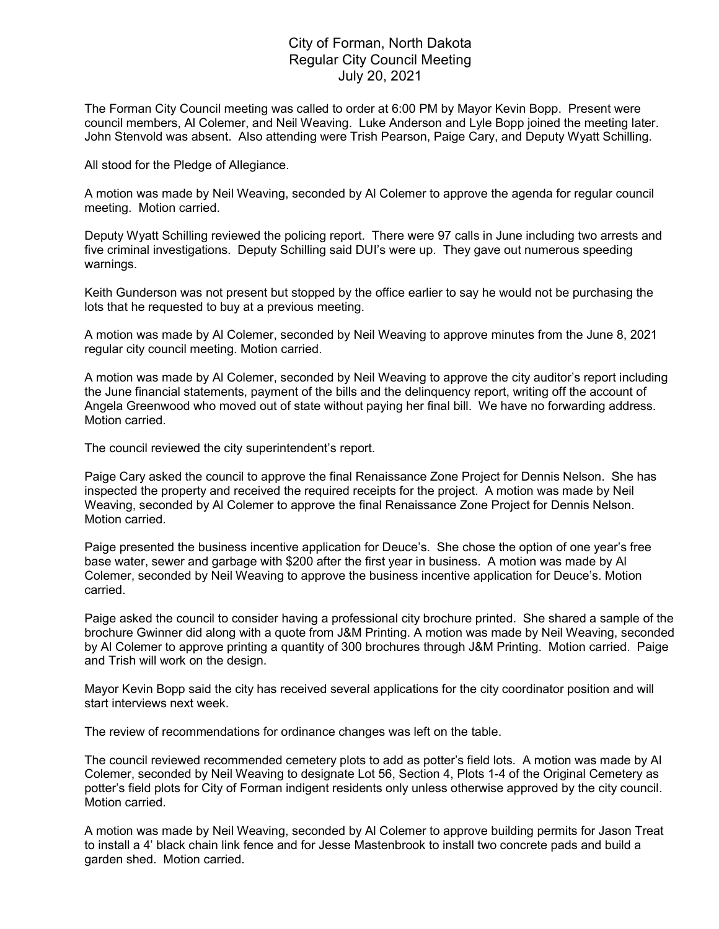## City of Forman, North Dakota Regular City Council Meeting July 20, 2021

The Forman City Council meeting was called to order at 6:00 PM by Mayor Kevin Bopp. Present were council members, Al Colemer, and Neil Weaving. Luke Anderson and Lyle Bopp joined the meeting later. John Stenvold was absent. Also attending were Trish Pearson, Paige Cary, and Deputy Wyatt Schilling.

All stood for the Pledge of Allegiance.

A motion was made by Neil Weaving, seconded by Al Colemer to approve the agenda for regular council meeting. Motion carried.

Deputy Wyatt Schilling reviewed the policing report. There were 97 calls in June including two arrests and five criminal investigations. Deputy Schilling said DUI's were up. They gave out numerous speeding warnings.

Keith Gunderson was not present but stopped by the office earlier to say he would not be purchasing the lots that he requested to buy at a previous meeting.

A motion was made by Al Colemer, seconded by Neil Weaving to approve minutes from the June 8, 2021 regular city council meeting. Motion carried.

A motion was made by Al Colemer, seconded by Neil Weaving to approve the city auditor's report including the June financial statements, payment of the bills and the delinquency report, writing off the account of Angela Greenwood who moved out of state without paying her final bill. We have no forwarding address. Motion carried.

The council reviewed the city superintendent's report.

Paige Cary asked the council to approve the final Renaissance Zone Project for Dennis Nelson. She has inspected the property and received the required receipts for the project. A motion was made by Neil Weaving, seconded by Al Colemer to approve the final Renaissance Zone Project for Dennis Nelson. Motion carried.

Paige presented the business incentive application for Deuce's. She chose the option of one year's free base water, sewer and garbage with \$200 after the first year in business. A motion was made by Al Colemer, seconded by Neil Weaving to approve the business incentive application for Deuce's. Motion carried.

Paige asked the council to consider having a professional city brochure printed. She shared a sample of the brochure Gwinner did along with a quote from J&M Printing. A motion was made by Neil Weaving, seconded by Al Colemer to approve printing a quantity of 300 brochures through J&M Printing. Motion carried. Paige and Trish will work on the design.

Mayor Kevin Bopp said the city has received several applications for the city coordinator position and will start interviews next week.

The review of recommendations for ordinance changes was left on the table.

The council reviewed recommended cemetery plots to add as potter's field lots. A motion was made by Al Colemer, seconded by Neil Weaving to designate Lot 56, Section 4, Plots 1-4 of the Original Cemetery as potter's field plots for City of Forman indigent residents only unless otherwise approved by the city council. Motion carried.

A motion was made by Neil Weaving, seconded by Al Colemer to approve building permits for Jason Treat to install a 4' black chain link fence and for Jesse Mastenbrook to install two concrete pads and build a garden shed. Motion carried.